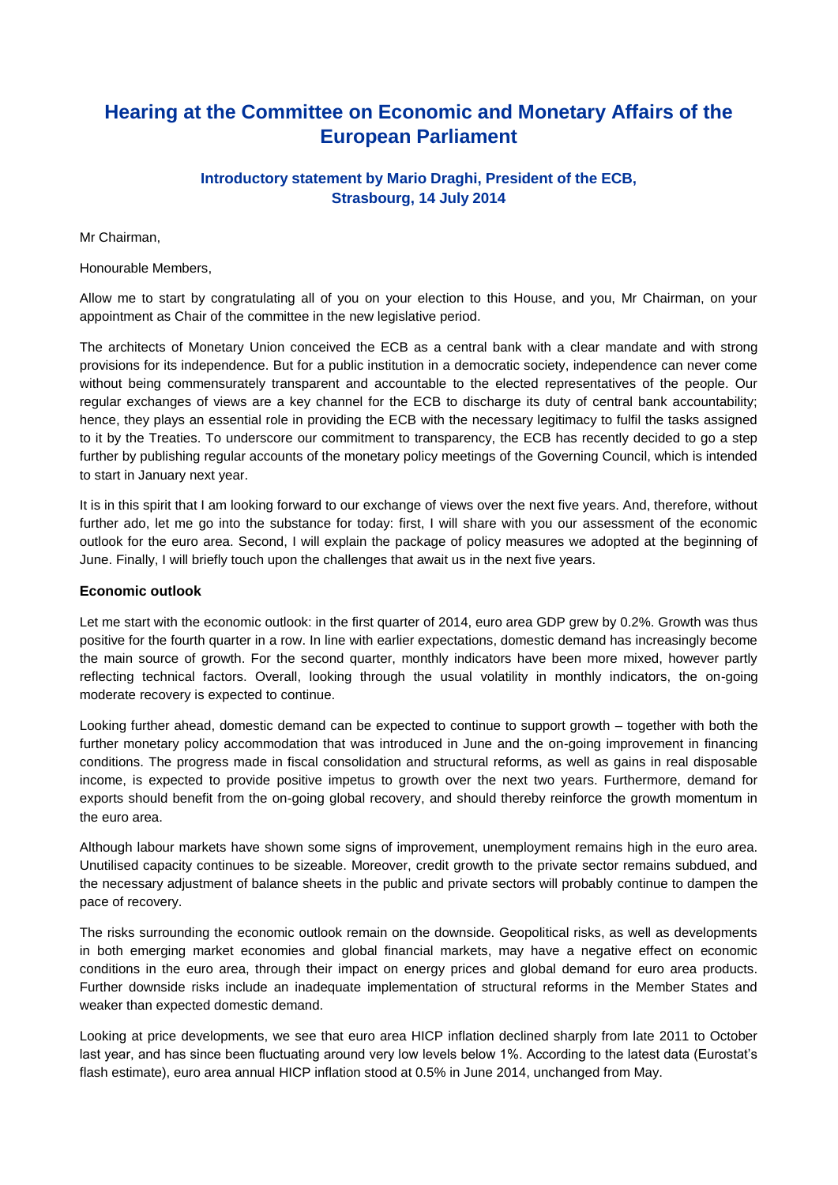# **Hearing at the Committee on Economic and Monetary Affairs of the European Parliament**

## **Introductory statement by Mario Draghi, President of the ECB, Strasbourg, 14 July 2014**

Mr Chairman,

Honourable Members,

Allow me to start by congratulating all of you on your election to this House, and you, Mr Chairman, on your appointment as Chair of the committee in the new legislative period.

The architects of Monetary Union conceived the ECB as a central bank with a clear mandate and with strong provisions for its independence. But for a public institution in a democratic society, independence can never come without being commensurately transparent and accountable to the elected representatives of the people. Our regular exchanges of views are a key channel for the ECB to discharge its duty of central bank accountability; hence, they plays an essential role in providing the ECB with the necessary legitimacy to fulfil the tasks assigned to it by the Treaties. To underscore our commitment to transparency, the ECB has recently decided to go a step further by publishing regular accounts of the monetary policy meetings of the Governing Council, which is intended to start in January next year.

It is in this spirit that I am looking forward to our exchange of views over the next five years. And, therefore, without further ado, let me go into the substance for today: first, I will share with you our assessment of the economic outlook for the euro area. Second, I will explain the package of policy measures we adopted at the beginning of June. Finally, I will briefly touch upon the challenges that await us in the next five years.

#### **Economic outlook**

Let me start with the economic outlook: in the first quarter of 2014, euro area GDP grew by 0.2%. Growth was thus positive for the fourth quarter in a row. In line with earlier expectations, domestic demand has increasingly become the main source of growth. For the second quarter, monthly indicators have been more mixed, however partly reflecting technical factors. Overall, looking through the usual volatility in monthly indicators, the on-going moderate recovery is expected to continue.

Looking further ahead, domestic demand can be expected to continue to support growth – together with both the further monetary policy accommodation that was introduced in June and the on-going improvement in financing conditions. The progress made in fiscal consolidation and structural reforms, as well as gains in real disposable income, is expected to provide positive impetus to growth over the next two years. Furthermore, demand for exports should benefit from the on-going global recovery, and should thereby reinforce the growth momentum in the euro area.

Although labour markets have shown some signs of improvement, unemployment remains high in the euro area. Unutilised capacity continues to be sizeable. Moreover, credit growth to the private sector remains subdued, and the necessary adjustment of balance sheets in the public and private sectors will probably continue to dampen the pace of recovery.

The risks surrounding the economic outlook remain on the downside. Geopolitical risks, as well as developments in both emerging market economies and global financial markets, may have a negative effect on economic conditions in the euro area, through their impact on energy prices and global demand for euro area products. Further downside risks include an inadequate implementation of structural reforms in the Member States and weaker than expected domestic demand.

Looking at price developments, we see that euro area HICP inflation declined sharply from late 2011 to October last year, and has since been fluctuating around very low levels below 1%. According to the latest data (Eurostat's flash estimate), euro area annual HICP inflation stood at 0.5% in June 2014, unchanged from May.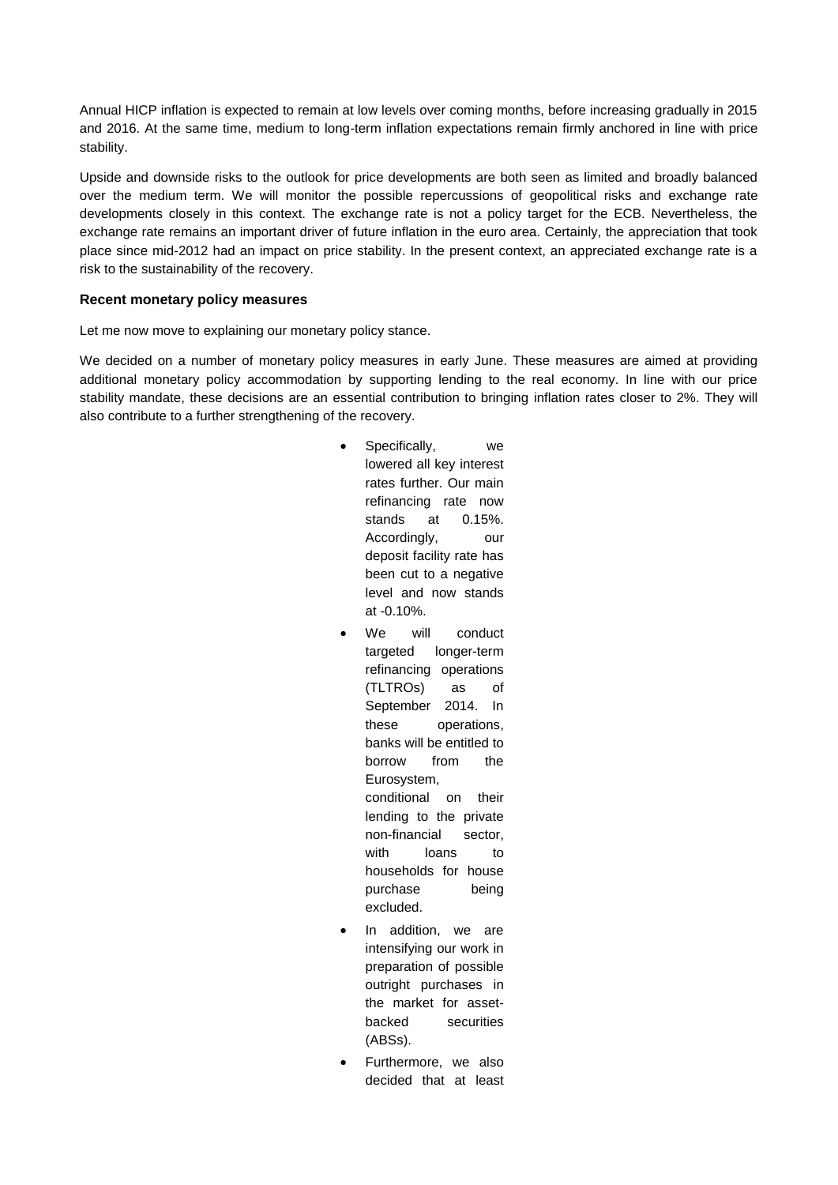Annual HICP inflation is expected to remain at low levels over coming months, before increasing gradually in 2015 and 2016. At the same time, medium to long-term inflation expectations remain firmly anchored in line with price stability.

Upside and downside risks to the outlook for price developments are both seen as limited and broadly balanced over the medium term. We will monitor the possible repercussions of geopolitical risks and exchange rate developments closely in this context. The exchange rate is not a policy target for the ECB. Nevertheless, the exchange rate remains an important driver of future inflation in the euro area. Certainly, the appreciation that took place since mid-2012 had an impact on price stability. In the present context, an appreciated exchange rate is a risk to the sustainability of the recovery.

#### **Recent monetary policy measures**

Let me now move to explaining our monetary policy stance.

We decided on a number of monetary policy measures in early June. These measures are aimed at providing additional monetary policy accommodation by supporting lending to the real economy. In line with our price stability mandate, these decisions are an essential contribution to bringing inflation rates closer to 2%. They will also contribute to a further strengthening of the recovery.

> Specifically, we lowered all key interest rates further. Our main refinancing rate now stands at 0.15%. Accordingly, our deposit facility rate has been cut to a negative level and now stands at -0.10%.

- We will conduct targeted longer-term refinancing operations (TLTROs) as of September 2014. In these operations, banks will be entitled to borrow from the Eurosystem, conditional on their lending to the private non-financial sector, with loans to households for house purchase being excluded.
- In addition, we are intensifying our work in preparation of possible outright purchases in the market for assetbacked securities (ABSs).
- Furthermore, we also decided that at least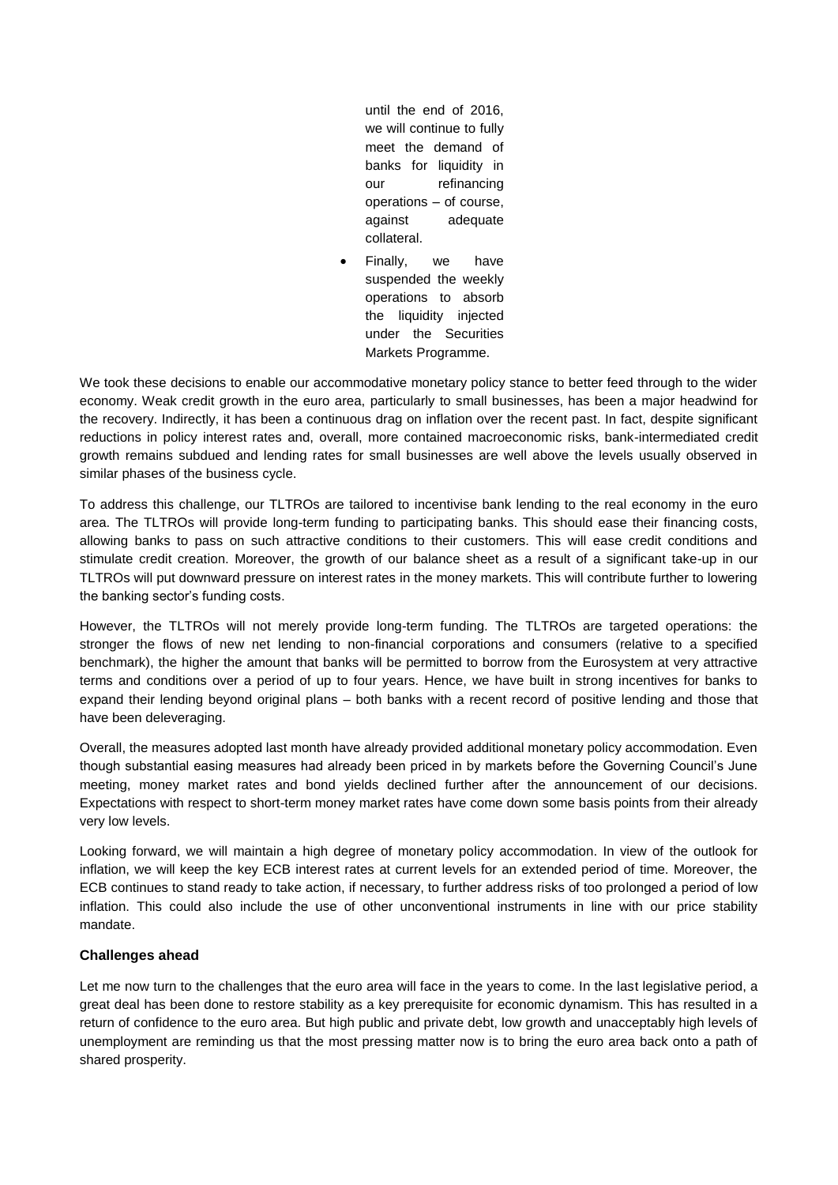until the end of 2016, we will continue to fully meet the demand of banks for liquidity in our refinancing operations – of course, against adequate collateral.

 Finally, we have suspended the weekly operations to absorb the liquidity injected under the Securities Markets Programme.

We took these decisions to enable our accommodative monetary policy stance to better feed through to the wider economy. Weak credit growth in the euro area, particularly to small businesses, has been a major headwind for the recovery. Indirectly, it has been a continuous drag on inflation over the recent past. In fact, despite significant reductions in policy interest rates and, overall, more contained macroeconomic risks, bank-intermediated credit growth remains subdued and lending rates for small businesses are well above the levels usually observed in similar phases of the business cycle.

To address this challenge, our TLTROs are tailored to incentivise bank lending to the real economy in the euro area. The TLTROs will provide long-term funding to participating banks. This should ease their financing costs, allowing banks to pass on such attractive conditions to their customers. This will ease credit conditions and stimulate credit creation. Moreover, the growth of our balance sheet as a result of a significant take-up in our TLTROs will put downward pressure on interest rates in the money markets. This will contribute further to lowering the banking sector's funding costs.

However, the TLTROs will not merely provide long-term funding. The TLTROs are targeted operations: the stronger the flows of new net lending to non-financial corporations and consumers (relative to a specified benchmark), the higher the amount that banks will be permitted to borrow from the Eurosystem at very attractive terms and conditions over a period of up to four years. Hence, we have built in strong incentives for banks to expand their lending beyond original plans – both banks with a recent record of positive lending and those that have been deleveraging.

Overall, the measures adopted last month have already provided additional monetary policy accommodation. Even though substantial easing measures had already been priced in by markets before the Governing Council's June meeting, money market rates and bond yields declined further after the announcement of our decisions. Expectations with respect to short-term money market rates have come down some basis points from their already very low levels.

Looking forward, we will maintain a high degree of monetary policy accommodation. In view of the outlook for inflation, we will keep the key ECB interest rates at current levels for an extended period of time. Moreover, the ECB continues to stand ready to take action, if necessary, to further address risks of too prolonged a period of low inflation. This could also include the use of other unconventional instruments in line with our price stability mandate.

### **Challenges ahead**

Let me now turn to the challenges that the euro area will face in the years to come. In the last legislative period, a great deal has been done to restore stability as a key prerequisite for economic dynamism. This has resulted in a return of confidence to the euro area. But high public and private debt, low growth and unacceptably high levels of unemployment are reminding us that the most pressing matter now is to bring the euro area back onto a path of shared prosperity.